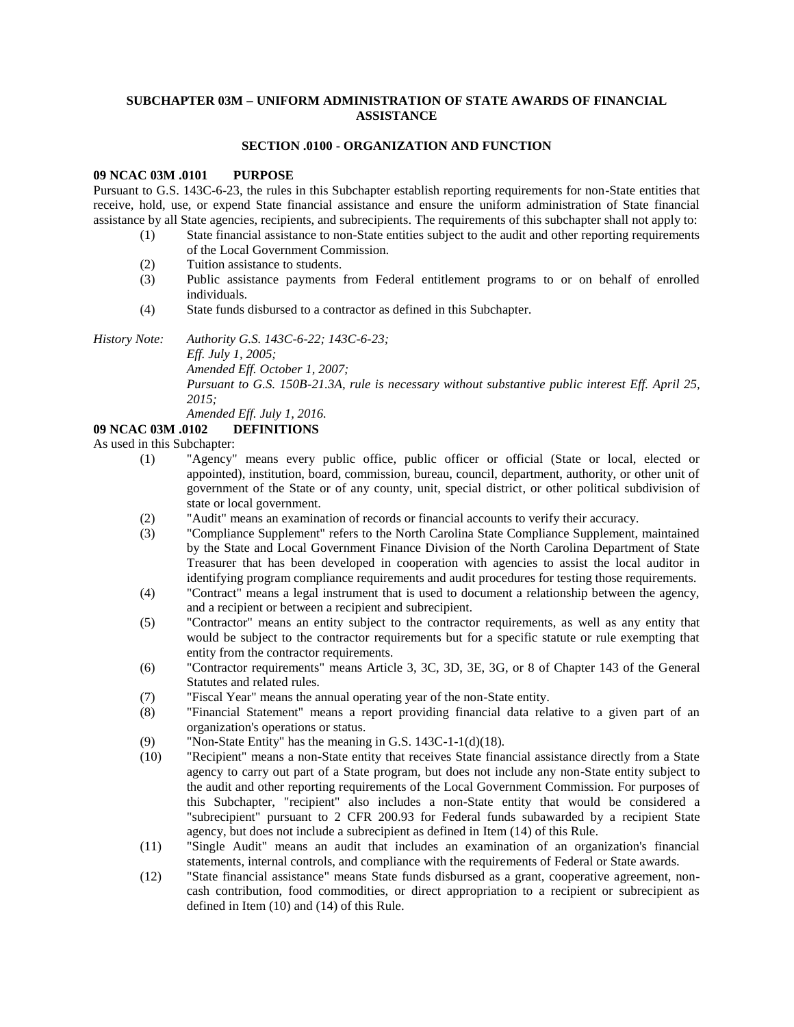# **SUBCHAPTER 03M – UNIFORM ADMINISTRATION OF STATE AWARDS OF FINANCIAL ASSISTANCE**

### **SECTION .0100 - ORGANIZATION AND FUNCTION**

#### **09 NCAC 03M .0101 PURPOSE**

Pursuant to G.S. 143C-6-23, the rules in this Subchapter establish reporting requirements for non-State entities that receive, hold, use, or expend State financial assistance and ensure the uniform administration of State financial assistance by all State agencies, recipients, and subrecipients. The requirements of this subchapter shall not apply to:

- (1) State financial assistance to non-State entities subject to the audit and other reporting requirements of the Local Government Commission.
- (2) Tuition assistance to students.
- (3) Public assistance payments from Federal entitlement programs to or on behalf of enrolled individuals.
- (4) State funds disbursed to a contractor as defined in this Subchapter.

*History Note: Authority G.S. 143C-6-22; 143C-6-23;*

*Eff. July 1, 2005;* 

*Amended Eff. October 1, 2007;*

*Pursuant to G.S. 150B-21.3A, rule is necessary without substantive public interest Eff. April 25, 2015;*

*Amended Eff. July 1, 2016.*

# **09 NCAC 03M .0102 DEFINITIONS**

As used in this Subchapter:

- (1) "Agency" means every public office, public officer or official (State or local, elected or appointed), institution, board, commission, bureau, council, department, authority, or other unit of government of the State or of any county, unit, special district, or other political subdivision of state or local government.
- (2) "Audit" means an examination of records or financial accounts to verify their accuracy.
- (3) "Compliance Supplement" refers to the North Carolina State Compliance Supplement, maintained by the State and Local Government Finance Division of the North Carolina Department of State Treasurer that has been developed in cooperation with agencies to assist the local auditor in identifying program compliance requirements and audit procedures for testing those requirements.
- (4) "Contract" means a legal instrument that is used to document a relationship between the agency, and a recipient or between a recipient and subrecipient.
- (5) "Contractor" means an entity subject to the contractor requirements, as well as any entity that would be subject to the contractor requirements but for a specific statute or rule exempting that entity from the contractor requirements.
- (6) "Contractor requirements" means Article 3, 3C, 3D, 3E, 3G, or 8 of Chapter 143 of the General Statutes and related rules.
- (7) "Fiscal Year" means the annual operating year of the non-State entity.
- (8) "Financial Statement" means a report providing financial data relative to a given part of an organization's operations or status.
- (9) "Non-State Entity" has the meaning in G.S. 143C-1-1(d)(18).
- (10) "Recipient" means a non-State entity that receives State financial assistance directly from a State agency to carry out part of a State program, but does not include any non-State entity subject to the audit and other reporting requirements of the Local Government Commission. For purposes of this Subchapter, "recipient" also includes a non-State entity that would be considered a "subrecipient" pursuant to 2 CFR 200.93 for Federal funds subawarded by a recipient State agency, but does not include a subrecipient as defined in Item (14) of this Rule.
- (11) "Single Audit" means an audit that includes an examination of an organization's financial statements, internal controls, and compliance with the requirements of Federal or State awards.
- (12) "State financial assistance" means State funds disbursed as a grant, cooperative agreement, noncash contribution, food commodities, or direct appropriation to a recipient or subrecipient as defined in Item (10) and (14) of this Rule.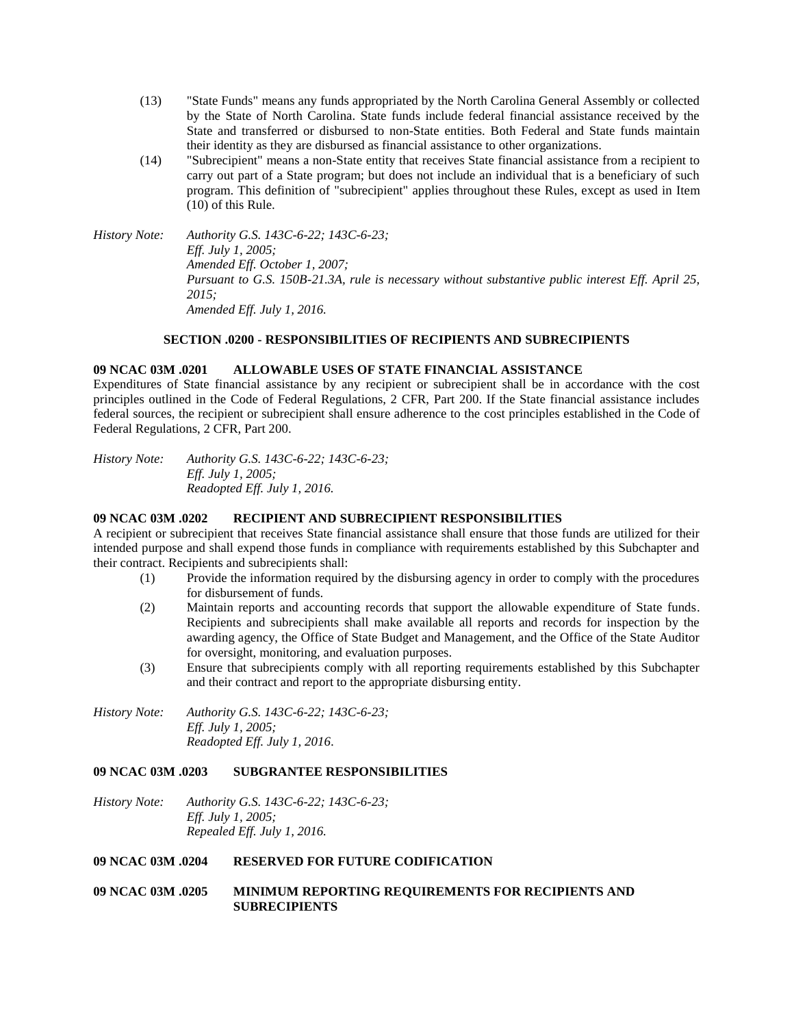- (13) "State Funds" means any funds appropriated by the North Carolina General Assembly or collected by the State of North Carolina. State funds include federal financial assistance received by the State and transferred or disbursed to non-State entities. Both Federal and State funds maintain their identity as they are disbursed as financial assistance to other organizations.
- (14) "Subrecipient" means a non-State entity that receives State financial assistance from a recipient to carry out part of a State program; but does not include an individual that is a beneficiary of such program. This definition of "subrecipient" applies throughout these Rules, except as used in Item (10) of this Rule.

*History Note: Authority G.S. 143C-6-22; 143C-6-23; Eff. July 1, 2005; Amended Eff. October 1, 2007; Pursuant to G.S. 150B-21.3A, rule is necessary without substantive public interest Eff. April 25, 2015; Amended Eff. July 1, 2016.*

# **SECTION .0200 - RESPONSIBILITIES OF RECIPIENTS AND SUBRECIPIENTS**

#### **09 NCAC 03M .0201 ALLOWABLE USES OF STATE FINANCIAL ASSISTANCE**

Expenditures of State financial assistance by any recipient or subrecipient shall be in accordance with the cost principles outlined in the Code of Federal Regulations, 2 CFR, Part 200. If the State financial assistance includes federal sources, the recipient or subrecipient shall ensure adherence to the cost principles established in the Code of Federal Regulations, 2 CFR, Part 200.

*History Note: Authority G.S. 143C-6-22; 143C-6-23; Eff. July 1, 2005; Readopted Eff. July 1, 2016.*

#### **09 NCAC 03M .0202 RECIPIENT AND SUBRECIPIENT RESPONSIBILITIES**

A recipient or subrecipient that receives State financial assistance shall ensure that those funds are utilized for their intended purpose and shall expend those funds in compliance with requirements established by this Subchapter and their contract. Recipients and subrecipients shall:

- (1) Provide the information required by the disbursing agency in order to comply with the procedures for disbursement of funds.
- (2) Maintain reports and accounting records that support the allowable expenditure of State funds. Recipients and subrecipients shall make available all reports and records for inspection by the awarding agency, the Office of State Budget and Management, and the Office of the State Auditor for oversight, monitoring, and evaluation purposes.
- (3) Ensure that subrecipients comply with all reporting requirements established by this Subchapter and their contract and report to the appropriate disbursing entity.

*History Note: Authority G.S. 143C-6-22; 143C-6-23; Eff. July 1, 2005; Readopted Eff. July 1, 2016.*

### **09 NCAC 03M .0203 SUBGRANTEE RESPONSIBILITIES**

*History Note: Authority G.S. 143C-6-22; 143C-6-23; Eff. July 1, 2005; Repealed Eff. July 1, 2016.*

# **09 NCAC 03M .0204 RESERVED FOR FUTURE CODIFICATION**

# **09 NCAC 03M .0205 MINIMUM REPORTING REQUIREMENTS FOR RECIPIENTS AND SUBRECIPIENTS**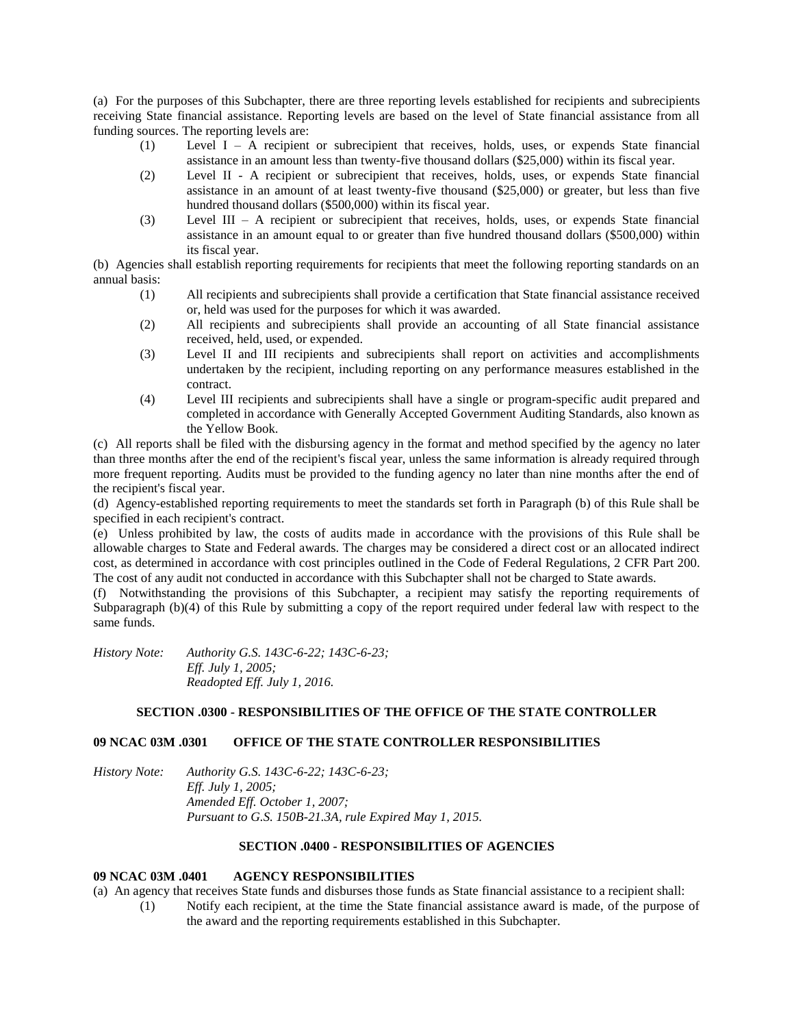(a) For the purposes of this Subchapter, there are three reporting levels established for recipients and subrecipients receiving State financial assistance. Reporting levels are based on the level of State financial assistance from all funding sources. The reporting levels are:

- (1) Level I A recipient or subrecipient that receives, holds, uses, or expends State financial assistance in an amount less than twenty-five thousand dollars (\$25,000) within its fiscal year.
- (2) Level II A recipient or subrecipient that receives, holds, uses, or expends State financial assistance in an amount of at least twenty-five thousand (\$25,000) or greater, but less than five hundred thousand dollars (\$500,000) within its fiscal year.
- (3) Level III A recipient or subrecipient that receives, holds, uses, or expends State financial assistance in an amount equal to or greater than five hundred thousand dollars (\$500,000) within its fiscal year.

(b) Agencies shall establish reporting requirements for recipients that meet the following reporting standards on an annual basis:

- (1) All recipients and subrecipients shall provide a certification that State financial assistance received or, held was used for the purposes for which it was awarded.
- (2) All recipients and subrecipients shall provide an accounting of all State financial assistance received, held, used, or expended.
- (3) Level II and III recipients and subrecipients shall report on activities and accomplishments undertaken by the recipient, including reporting on any performance measures established in the contract.
- (4) Level III recipients and subrecipients shall have a single or program-specific audit prepared and completed in accordance with Generally Accepted Government Auditing Standards, also known as the Yellow Book.

(c) All reports shall be filed with the disbursing agency in the format and method specified by the agency no later than three months after the end of the recipient's fiscal year, unless the same information is already required through more frequent reporting. Audits must be provided to the funding agency no later than nine months after the end of the recipient's fiscal year.

(d) Agency-established reporting requirements to meet the standards set forth in Paragraph (b) of this Rule shall be specified in each recipient's contract.

(e) Unless prohibited by law, the costs of audits made in accordance with the provisions of this Rule shall be allowable charges to State and Federal awards. The charges may be considered a direct cost or an allocated indirect cost, as determined in accordance with cost principles outlined in the Code of Federal Regulations, 2 CFR Part 200. The cost of any audit not conducted in accordance with this Subchapter shall not be charged to State awards.

(f) Notwithstanding the provisions of this Subchapter, a recipient may satisfy the reporting requirements of Subparagraph (b)(4) of this Rule by submitting a copy of the report required under federal law with respect to the same funds.

*History Note: Authority G.S. 143C-6-22; 143C-6-23; Eff. July 1, 2005; Readopted Eff. July 1, 2016.*

# **SECTION .0300 - RESPONSIBILITIES OF THE OFFICE OF THE STATE CONTROLLER**

### **09 NCAC 03M .0301 OFFICE OF THE STATE CONTROLLER RESPONSIBILITIES**

*History Note: Authority G.S. 143C-6-22; 143C-6-23; Eff. July 1, 2005; Amended Eff. October 1, 2007; Pursuant to G.S. 150B-21.3A, rule Expired May 1, 2015.*

# **SECTION .0400 - RESPONSIBILITIES OF AGENCIES**

### **09 NCAC 03M .0401 AGENCY RESPONSIBILITIES**

(a) An agency that receives State funds and disburses those funds as State financial assistance to a recipient shall:

(1) Notify each recipient, at the time the State financial assistance award is made, of the purpose of the award and the reporting requirements established in this Subchapter.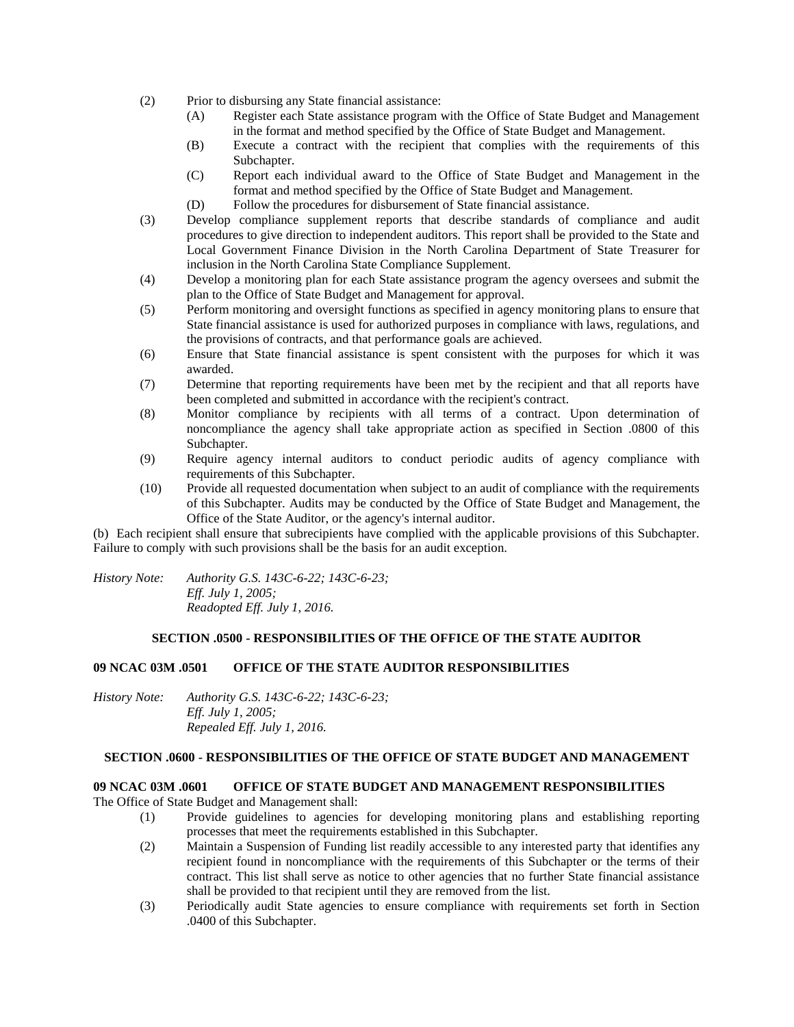- (2) Prior to disbursing any State financial assistance:
	- (A) Register each State assistance program with the Office of State Budget and Management in the format and method specified by the Office of State Budget and Management.
	- (B) Execute a contract with the recipient that complies with the requirements of this Subchapter.
	- (C) Report each individual award to the Office of State Budget and Management in the format and method specified by the Office of State Budget and Management.
	- (D) Follow the procedures for disbursement of State financial assistance.
- (3) Develop compliance supplement reports that describe standards of compliance and audit procedures to give direction to independent auditors. This report shall be provided to the State and Local Government Finance Division in the North Carolina Department of State Treasurer for inclusion in the North Carolina State Compliance Supplement.
- (4) Develop a monitoring plan for each State assistance program the agency oversees and submit the plan to the Office of State Budget and Management for approval.
- (5) Perform monitoring and oversight functions as specified in agency monitoring plans to ensure that State financial assistance is used for authorized purposes in compliance with laws, regulations, and the provisions of contracts, and that performance goals are achieved.
- (6) Ensure that State financial assistance is spent consistent with the purposes for which it was awarded.
- (7) Determine that reporting requirements have been met by the recipient and that all reports have been completed and submitted in accordance with the recipient's contract.
- (8) Monitor compliance by recipients with all terms of a contract. Upon determination of noncompliance the agency shall take appropriate action as specified in Section .0800 of this Subchapter.
- (9) Require agency internal auditors to conduct periodic audits of agency compliance with requirements of this Subchapter.
- (10) Provide all requested documentation when subject to an audit of compliance with the requirements of this Subchapter. Audits may be conducted by the Office of State Budget and Management, the Office of the State Auditor, or the agency's internal auditor.

(b) Each recipient shall ensure that subrecipients have complied with the applicable provisions of this Subchapter. Failure to comply with such provisions shall be the basis for an audit exception.

*History Note: Authority G.S. 143C-6-22; 143C-6-23; Eff. July 1, 2005; Readopted Eff. July 1, 2016.*

### **SECTION .0500 - RESPONSIBILITIES OF THE OFFICE OF THE STATE AUDITOR**

### **09 NCAC 03M .0501 OFFICE OF THE STATE AUDITOR RESPONSIBILITIES**

*History Note: Authority G.S. 143C-6-22; 143C-6-23; Eff. July 1, 2005; Repealed Eff. July 1, 2016.*

## **SECTION .0600 - RESPONSIBILITIES OF THE OFFICE OF STATE BUDGET AND MANAGEMENT**

### **09 NCAC 03M .0601 OFFICE OF STATE BUDGET AND MANAGEMENT RESPONSIBILITIES**

The Office of State Budget and Management shall:

- (1) Provide guidelines to agencies for developing monitoring plans and establishing reporting processes that meet the requirements established in this Subchapter.
- (2) Maintain a Suspension of Funding list readily accessible to any interested party that identifies any recipient found in noncompliance with the requirements of this Subchapter or the terms of their contract. This list shall serve as notice to other agencies that no further State financial assistance shall be provided to that recipient until they are removed from the list.
- (3) Periodically audit State agencies to ensure compliance with requirements set forth in Section .0400 of this Subchapter.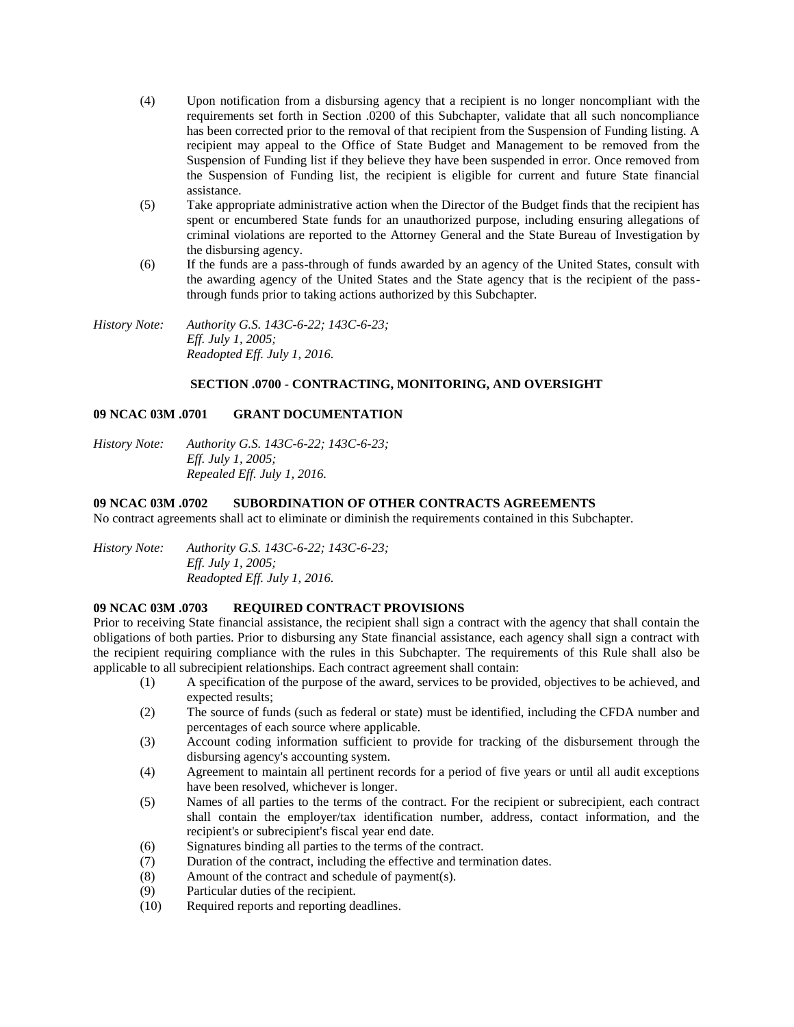- (4) Upon notification from a disbursing agency that a recipient is no longer noncompliant with the requirements set forth in Section .0200 of this Subchapter, validate that all such noncompliance has been corrected prior to the removal of that recipient from the Suspension of Funding listing. A recipient may appeal to the Office of State Budget and Management to be removed from the Suspension of Funding list if they believe they have been suspended in error. Once removed from the Suspension of Funding list, the recipient is eligible for current and future State financial assistance.
- (5) Take appropriate administrative action when the Director of the Budget finds that the recipient has spent or encumbered State funds for an unauthorized purpose, including ensuring allegations of criminal violations are reported to the Attorney General and the State Bureau of Investigation by the disbursing agency.
- (6) If the funds are a pass-through of funds awarded by an agency of the United States, consult with the awarding agency of the United States and the State agency that is the recipient of the passthrough funds prior to taking actions authorized by this Subchapter.

*History Note: Authority G.S. 143C-6-22; 143C-6-23; Eff. July 1, 2005; Readopted Eff. July 1, 2016.*

# **SECTION .0700 - CONTRACTING, MONITORING, AND OVERSIGHT**

# **09 NCAC 03M .0701 GRANT DOCUMENTATION**

*History Note: Authority G.S. 143C-6-22; 143C-6-23; Eff. July 1, 2005; Repealed Eff. July 1, 2016.*

### **09 NCAC 03M .0702 SUBORDINATION OF OTHER CONTRACTS AGREEMENTS**

No contract agreements shall act to eliminate or diminish the requirements contained in this Subchapter.

*History Note: Authority G.S. 143C-6-22; 143C-6-23; Eff. July 1, 2005; Readopted Eff. July 1, 2016.*

### **09 NCAC 03M .0703 REQUIRED CONTRACT PROVISIONS**

Prior to receiving State financial assistance, the recipient shall sign a contract with the agency that shall contain the obligations of both parties. Prior to disbursing any State financial assistance, each agency shall sign a contract with the recipient requiring compliance with the rules in this Subchapter. The requirements of this Rule shall also be applicable to all subrecipient relationships. Each contract agreement shall contain:

- (1) A specification of the purpose of the award, services to be provided, objectives to be achieved, and expected results;
- (2) The source of funds (such as federal or state) must be identified, including the CFDA number and percentages of each source where applicable.
- (3) Account coding information sufficient to provide for tracking of the disbursement through the disbursing agency's accounting system.
- (4) Agreement to maintain all pertinent records for a period of five years or until all audit exceptions have been resolved, whichever is longer.
- (5) Names of all parties to the terms of the contract. For the recipient or subrecipient, each contract shall contain the employer/tax identification number, address, contact information, and the recipient's or subrecipient's fiscal year end date.
- (6) Signatures binding all parties to the terms of the contract.
- (7) Duration of the contract, including the effective and termination dates.
- (8) Amount of the contract and schedule of payment(s).
- (9) Particular duties of the recipient.
- (10) Required reports and reporting deadlines.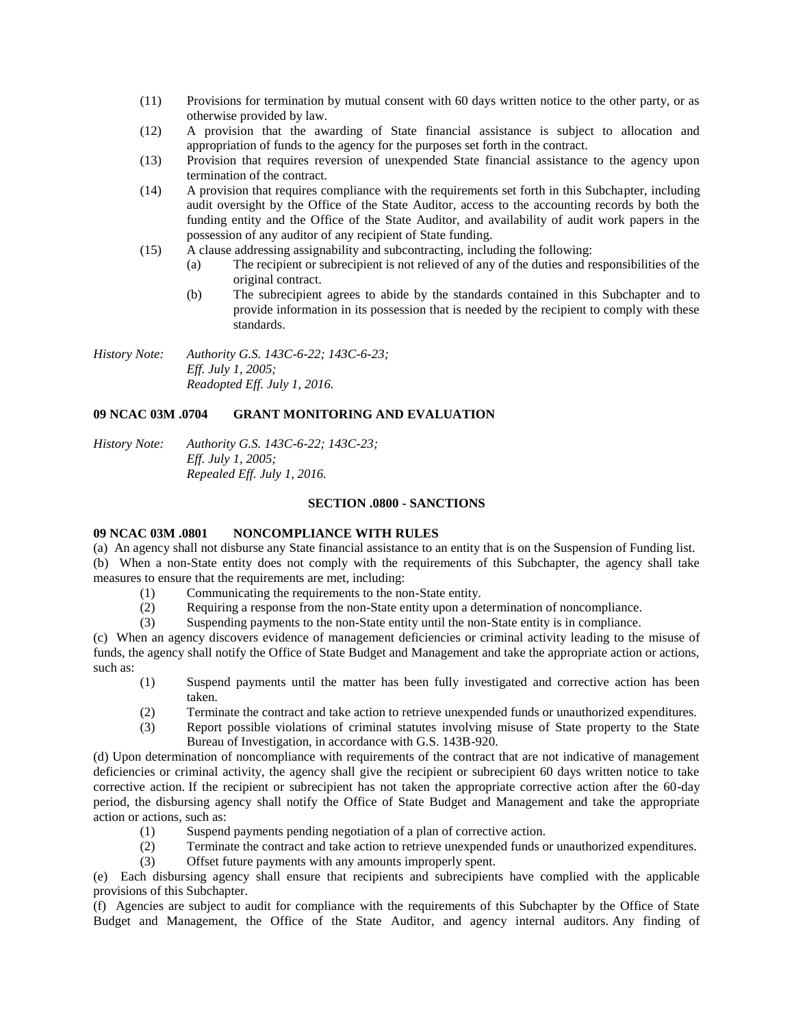- (11) Provisions for termination by mutual consent with 60 days written notice to the other party, or as otherwise provided by law.
- (12) A provision that the awarding of State financial assistance is subject to allocation and appropriation of funds to the agency for the purposes set forth in the contract.
- (13) Provision that requires reversion of unexpended State financial assistance to the agency upon termination of the contract.
- (14) A provision that requires compliance with the requirements set forth in this Subchapter, including audit oversight by the Office of the State Auditor, access to the accounting records by both the funding entity and the Office of the State Auditor, and availability of audit work papers in the possession of any auditor of any recipient of State funding.
- (15) A clause addressing assignability and subcontracting, including the following:
	- (a) The recipient or subrecipient is not relieved of any of the duties and responsibilities of the original contract.
	- (b) The subrecipient agrees to abide by the standards contained in this Subchapter and to provide information in its possession that is needed by the recipient to comply with these standards.

*History Note: Authority G.S. 143C-6-22; 143C-6-23; Eff. July 1, 2005; Readopted Eff. July 1, 2016.*

# **09 NCAC 03M .0704 GRANT MONITORING AND EVALUATION**

*History Note: Authority G.S. 143C-6-22; 143C-23; Eff. July 1, 2005; Repealed Eff. July 1, 2016.*

#### **SECTION .0800 - SANCTIONS**

### **09 NCAC 03M .0801 NONCOMPLIANCE WITH RULES**

(a) An agency shall not disburse any State financial assistance to an entity that is on the Suspension of Funding list. (b) When a non-State entity does not comply with the requirements of this Subchapter, the agency shall take measures to ensure that the requirements are met, including:

- (1) Communicating the requirements to the non-State entity.
- (2) Requiring a response from the non-State entity upon a determination of noncompliance.
- (3) Suspending payments to the non-State entity until the non-State entity is in compliance.

(c) When an agency discovers evidence of management deficiencies or criminal activity leading to the misuse of funds, the agency shall notify the Office of State Budget and Management and take the appropriate action or actions, such as:

- (1) Suspend payments until the matter has been fully investigated and corrective action has been taken.
- (2) Terminate the contract and take action to retrieve unexpended funds or unauthorized expenditures.
- (3) Report possible violations of criminal statutes involving misuse of State property to the State Bureau of Investigation, in accordance with G.S. 143B-920.

(d) Upon determination of noncompliance with requirements of the contract that are not indicative of management deficiencies or criminal activity, the agency shall give the recipient or subrecipient 60 days written notice to take corrective action. If the recipient or subrecipient has not taken the appropriate corrective action after the 60-day period, the disbursing agency shall notify the Office of State Budget and Management and take the appropriate action or actions, such as:

- (1) Suspend payments pending negotiation of a plan of corrective action.
- (2) Terminate the contract and take action to retrieve unexpended funds or unauthorized expenditures.
- (3) Offset future payments with any amounts improperly spent.

(e) Each disbursing agency shall ensure that recipients and subrecipients have complied with the applicable provisions of this Subchapter.

(f) Agencies are subject to audit for compliance with the requirements of this Subchapter by the Office of State Budget and Management, the Office of the State Auditor, and agency internal auditors. Any finding of